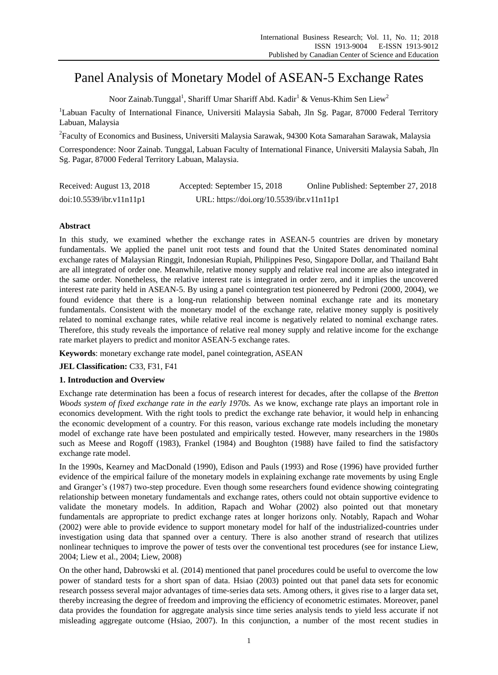# Panel Analysis of Monetary Model of ASEAN-5 Exchange Rates

Noor Zainab.Tunggal $^{\rm l}$ , Shariff Umar Shariff Abd. Kadir $^{\rm l}$  & Venus-Khim Sen Liew $^{\rm 2}$ 

<sup>1</sup>Labuan Faculty of International Finance, Universiti Malaysia Sabah, Jln Sg. Pagar, 87000 Federal Territory Labuan, Malaysia

2 Faculty of Economics and Business, Universiti Malaysia Sarawak, 94300 Kota Samarahan Sarawak, Malaysia

Correspondence: Noor Zainab. Tunggal, Labuan Faculty of International Finance, Universiti Malaysia Sabah, Jln Sg. Pagar, 87000 Federal Territory Labuan, Malaysia.

| Received: August 13, 2018 | Accepted: September 15, 2018              | Online Published: September 27, 2018 |
|---------------------------|-------------------------------------------|--------------------------------------|
| doi:10.5539/ibr.v11n11p1  | URL: https://doi.org/10.5539/ibr.v11n11p1 |                                      |

# **Abstract**

In this study, we examined whether the exchange rates in ASEAN-5 countries are driven by monetary fundamentals. We applied the panel unit root tests and found that the United States denominated nominal exchange rates of Malaysian Ringgit, Indonesian Rupiah, Philippines Peso, Singapore Dollar, and Thailand Baht are all integrated of order one. Meanwhile, relative money supply and relative real income are also integrated in the same order. Nonetheless, the relative interest rate is integrated in order zero, and it implies the uncovered interest rate parity held in ASEAN-5. By using a panel cointegration test pioneered by Pedroni (2000, 2004), we found evidence that there is a long-run relationship between nominal exchange rate and its monetary fundamentals. Consistent with the monetary model of the exchange rate, relative money supply is positively related to nominal exchange rates, while relative real income is negatively related to nominal exchange rates. Therefore, this study reveals the importance of relative real money supply and relative income for the exchange rate market players to predict and monitor ASEAN-5 exchange rates.

**Keywords**: monetary exchange rate model, panel cointegration, ASEAN

**JEL Classification:** C33, F31, F41

# **1. Introduction and Overview**

Exchange rate determination has been a focus of research interest for decades, after the collapse of the *Bretton Woods system of fixed exchange rate in the early 1970s.* As we know, exchange rate plays an important role in economics development. With the right tools to predict the exchange rate behavior, it would help in enhancing the economic development of a country. For this reason, various exchange rate models including the monetary model of exchange rate have been postulated and empirically tested. However, many researchers in the 1980s such as Meese and Rogoff (1983), Frankel (1984) and Boughton (1988) have failed to find the satisfactory exchange rate model.

In the 1990s, Kearney and MacDonald (1990), Edison and Pauls (1993) and Rose (1996) have provided further evidence of the empirical failure of the monetary models in explaining exchange rate movements by using Engle and Granger's (1987) two-step procedure. Even though some researchers found evidence showing cointegrating relationship between monetary fundamentals and exchange rates, others could not obtain supportive evidence to validate the monetary models. In addition, Rapach and Wohar (2002) also pointed out that monetary fundamentals are appropriate to predict exchange rates at longer horizons only. Notably, Rapach and Wohar (2002) were able to provide evidence to support monetary model for half of the industrialized-countries under investigation using data that spanned over a century. There is also another strand of research that utilizes nonlinear techniques to improve the power of tests over the conventional test procedures (see for instance Liew, 2004; Liew et al., 2004; Liew, 2008)

On the other hand, Dabrowski et al. (2014) mentioned that panel procedures could be useful to overcome the low power of standard tests for a short span of data. Hsiao (2003) pointed out that panel data sets for economic research possess several major advantages of time-series data sets. Among others, it gives rise to a larger data set, thereby increasing the degree of freedom and improving the efficiency of econometric estimates. Moreover, panel data provides the foundation for aggregate analysis since time series analysis tends to yield less accurate if not misleading aggregate outcome (Hsiao, 2007). In this conjunction, a number of the most recent studies in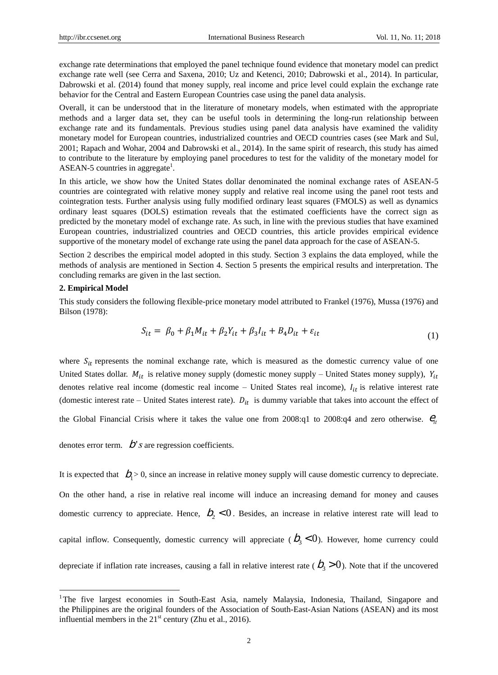exchange rate determinations that employed the panel technique found evidence that monetary model can predict exchange rate well (see Cerra and Saxena, 2010; Uz and Ketenci, 2010; Dabrowski et al., 2014). In particular, Dabrowski et al. (2014) found that money supply, real income and price level could explain the exchange rate behavior for the Central and Eastern European Countries case using the panel data analysis.

Overall, it can be understood that in the literature of monetary models, when estimated with the appropriate methods and a larger data set, they can be useful tools in determining the long-run relationship between exchange rate and its fundamentals. Previous studies using panel data analysis have examined the validity monetary model for European countries, industrialized countries and OECD countries cases (see Mark and Sul, 2001; Rapach and Wohar, 2004 and Dabrowski et al., 2014). In the same spirit of research, this study has aimed to contribute to the literature by employing panel procedures to test for the validity of the monetary model for ASEAN-5 countries in aggregate<sup>1</sup>.

In this article, we show how the United States dollar denominated the nominal exchange rates of ASEAN-5 countries are cointegrated with relative money supply and relative real income using the panel root tests and cointegration tests. Further analysis using fully modified ordinary least squares (FMOLS) as well as dynamics ordinary least squares (DOLS) estimation reveals that the estimated coefficients have the correct sign as predicted by the monetary model of exchange rate. As such, in line with the previous studies that have examined European countries, industrialized countries and OECD countries, this article provides empirical evidence supportive of the monetary model of exchange rate using the panel data approach for the case of ASEAN-5.

Section 2 describes the empirical model adopted in this study. Section 3 explains the data employed, while the methods of analysis are mentioned in Section 4. Section 5 presents the empirical results and interpretation. The concluding remarks are given in the last section.

## **2. Empirical Model**

-

This study considers the following flexible-price monetary model attributed to Frankel (1976), Mussa (1976) and Bilson (1978):

$$
S_{it} = \beta_0 + \beta_1 M_{it} + \beta_2 Y_{it} + \beta_3 I_{it} + B_4 D_{it} + \varepsilon_{it}
$$
\n(1)

where  $S_{it}$  represents the nominal exchange rate, which is measured as the domestic currency value of one United States dollar.  $M_{it}$  is relative money supply (domestic money supply – United States money supply),  $Y_{it}$ denotes relative real income (domestic real income – United States real income),  $I_{it}$  is relative interest rate (domestic interest rate – United States interest rate).  $D_{it}$  is dummy variable that takes into account the effect of

the Global Financial Crisis where it takes the value one from  $2008:q1$  to  $2008:q4$  and zero otherwise.  $\theta_{ii}$ 

denotes error term.  $\overrightarrow{D}$ '*s* are regression coefficients.

It is expected that  $b_1 > 0$ , since an increase in relative money supply will cause domestic currency to depreciate. On the other hand, a rise in relative real income will induce an increasing demand for money and causes domestic currency to appreciate. Hence,  $b_2 < 0$ . Besides, an increase in relative interest rate will lead to capital inflow. Consequently, domestic currency will appreciate ( $b_3 < 0$ ). However, home currency could depreciate if inflation rate increases, causing a fall in relative interest rate ( $b_3 > 0$ ). Note that if the uncovered

<sup>&</sup>lt;sup>1</sup>The five largest economies in South-East Asia, namely Malaysia, Indonesia, Thailand, Singapore and the Philippines are the original founders of the Association of South-East-Asian Nations (ASEAN) and its most influential members in the  $21<sup>st</sup>$  century (Zhu et al., 2016).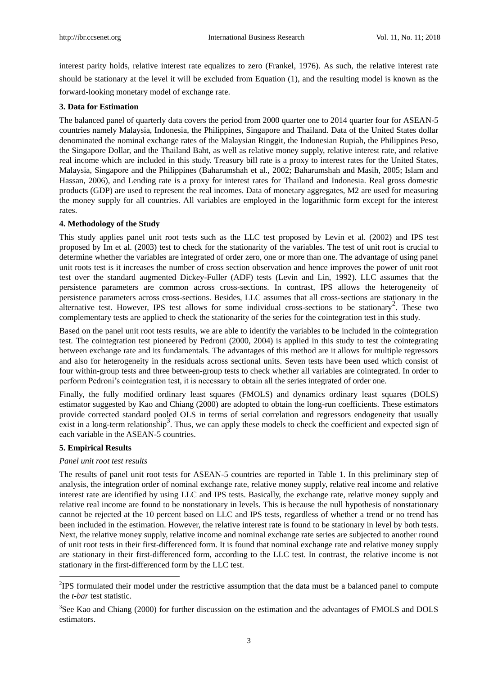interest parity holds, relative interest rate equalizes to zero (Frankel, 1976). As such, the relative interest rate should be stationary at the level it will be excluded from Equation (1), and the resulting model is known as the forward-looking monetary model of exchange rate.

## **3. Data for Estimation**

The balanced panel of quarterly data covers the period from 2000 quarter one to 2014 quarter four for ASEAN-5 countries namely Malaysia, Indonesia, the Philippines, Singapore and Thailand. Data of the United States dollar denominated the nominal exchange rates of the Malaysian Ringgit, the Indonesian Rupiah, the Philippines Peso, the Singapore Dollar, and the Thailand Baht, as well as relative money supply, relative interest rate, and relative real income which are included in this study. Treasury bill rate is a proxy to interest rates for the United States, Malaysia, Singapore and the Philippines (Baharumshah et al., 2002; Baharumshah and Masih, 2005; Islam and Hassan, 2006), and Lending rate is a proxy for interest rates for Thailand and Indonesia. Real gross domestic products (GDP) are used to represent the real incomes. Data of monetary aggregates, M2 are used for measuring the money supply for all countries. All variables are employed in the logarithmic form except for the interest rates.

## **4. Methodology of the Study**

This study applies panel unit root tests such as the LLC test proposed by Levin et al. (2002) and IPS test proposed by Im et al. (2003) test to check for the stationarity of the variables. The test of unit root is crucial to determine whether the variables are integrated of order zero, one or more than one. The advantage of using panel unit roots test is it increases the number of cross section observation and hence improves the power of unit root test over the standard augmented Dickey-Fuller (ADF) tests (Levin and Lin, 1992). LLC assumes that the persistence parameters are common across cross-sections. In contrast, IPS allows the heterogeneity of persistence parameters across cross-sections. Besides, LLC assumes that all cross-sections are stationary in the alternative test. However, IPS test allows for some individual cross-sections to be stationary<sup>2</sup>. These two complementary tests are applied to check the stationarity of the series for the cointegration test in this study.

Based on the panel unit root tests results, we are able to identify the variables to be included in the cointegration test. The cointegration test pioneered by Pedroni (2000, 2004) is applied in this study to test the cointegrating between exchange rate and its fundamentals. The advantages of this method are it allows for multiple regressors and also for heterogeneity in the residuals across sectional units. Seven tests have been used which consist of four within-group tests and three between-group tests to check whether all variables are cointegrated. In order to perform Pedroni's cointegration test, it is necessary to obtain all the series integrated of order one.

Finally, the fully modified ordinary least squares (FMOLS) and dynamics ordinary least squares (DOLS) estimator suggested by Kao and Chiang (2000) are adopted to obtain the long-run coefficients. These estimators provide corrected standard pooled OLS in terms of serial correlation and regressors endogeneity that usually  $\frac{1}{2}$  exist in a long-term relationship<sup>3</sup>. Thus, we can apply these models to check the coefficient and expected sign of each variable in the ASEAN-5 countries.

## **5. Empirical Results**

-

#### *Panel unit root test results*

The results of panel unit root tests for ASEAN-5 countries are reported in Table 1. In this preliminary step of analysis, the integration order of nominal exchange rate, relative money supply, relative real income and relative interest rate are identified by using LLC and IPS tests. Basically, the exchange rate, relative money supply and relative real income are found to be nonstationary in levels. This is because the null hypothesis of nonstationary cannot be rejected at the 10 percent based on LLC and IPS tests, regardless of whether a trend or no trend has been included in the estimation. However, the relative interest rate is found to be stationary in level by both tests. Next, the relative money supply, relative income and nominal exchange rate series are subjected to another round of unit root tests in their first-differenced form. It is found that nominal exchange rate and relative money supply are stationary in their first-differenced form, according to the LLC test. In contrast, the relative income is not stationary in the first-differenced form by the LLC test.

 $2$  IPS formulated their model under the restrictive assumption that the data must be a balanced panel to compute the *t-bar* test statistic.

<sup>&</sup>lt;sup>3</sup>See Kao and Chiang (2000) for further discussion on the estimation and the advantages of FMOLS and DOLS estimators.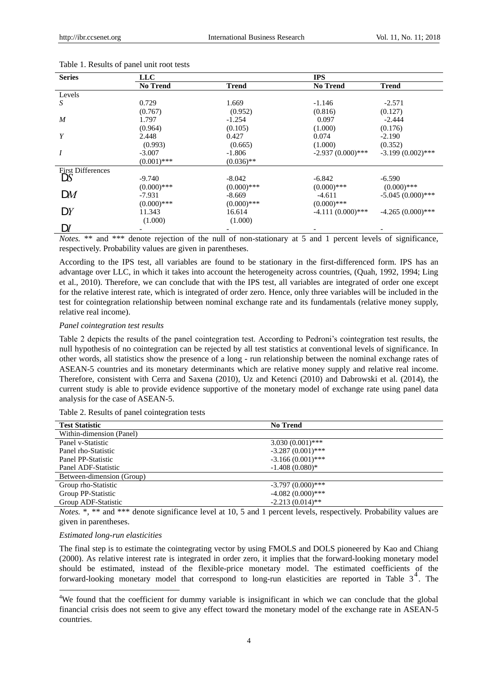| <b>Series</b>            | <b>LLC</b>      |               | <b>IPS</b>          |                     |
|--------------------------|-----------------|---------------|---------------------|---------------------|
|                          | <b>No Trend</b> | <b>Trend</b>  | <b>No Trend</b>     | <b>Trend</b>        |
| Levels                   |                 |               |                     |                     |
| S                        | 0.729           | 1.669         | $-1.146$            | $-2.571$            |
|                          | (0.767)         | (0.952)       | (0.816)             | (0.127)             |
| $\boldsymbol{M}$         | 1.797           | $-1.254$      | 0.097               | $-2.444$            |
|                          | (0.964)         | (0.105)       | (1.000)             | (0.176)             |
| Y                        | 2.448           | 0.427         | 0.074               | $-2.190$            |
|                          | (0.993)         | (0.665)       | (1.000)             | (0.352)             |
| $\boldsymbol{I}$         | $-3.007$        | $-1.806$      | $-2.937(0.000)***$  | $-3.199(0.002)$ *** |
|                          | $(0.001)$ ***   | $(0.036)$ **  |                     |                     |
| <b>First Differences</b> |                 |               |                     |                     |
| DS                       | $-9.740$        | $-8.042$      | $-6.842$            | $-6.590$            |
|                          | $(0.000)$ ***   | $(0.000)$ *** | $(0.000)$ ***       | $(0.000)$ ***       |
| DM                       | $-7.931$        | $-8.669$      | $-4.611$            | $-5.045(0.000)***$  |
|                          | $(0.000)$ ***   | $(0.000)$ *** | $(0.000)$ ***       |                     |
| D Y                      | 11.343          | 16.614        | $-4.111(0.000)$ *** | $-4.265(0.000)***$  |
|                          | (1.000)         | (1.000)       |                     |                     |
| DI                       |                 |               |                     |                     |

Table 1. Results of panel unit root tests

*Notes.* \*\* and \*\*\* denote rejection of the null of non-stationary at 5 and 1 percent levels of significance, respectively. Probability values are given in parentheses.

According to the IPS test, all variables are found to be stationary in the first-differenced form. IPS has an advantage over LLC, in which it takes into account the heterogeneity across countries, (Quah, 1992, 1994; Ling et al., 2010). Therefore, we can conclude that with the IPS test, all variables are integrated of order one except for the relative interest rate, which is integrated of order zero. Hence, only three variables will be included in the test for cointegration relationship between nominal exchange rate and its fundamentals (relative money supply, relative real income).

## *Panel cointegration test results*

Table 2 depicts the results of the panel cointegration test. According to Pedroni's cointegration test results, the null hypothesis of no cointegration can be rejected by all test statistics at conventional levels of significance. In other words, all statistics show the presence of a long - run relationship between the nominal exchange rates of ASEAN-5 countries and its monetary determinants which are relative money supply and relative real income. Therefore, consistent with Cerra and Saxena (2010), Uz and Ketenci (2010) and Dabrowski et al. (2014), the current study is able to provide evidence supportive of the monetary model of exchange rate using panel data analysis for the case of ASEAN-5.

Table 2. Results of panel cointegration tests

| <b>Test Statistic</b>     | <b>No Trend</b>     |
|---------------------------|---------------------|
| Within-dimension (Panel)  |                     |
| Panel v-Statistic         | $3.030(0.001)$ ***  |
| Panel rho-Statistic       | $-3.287(0.001)$ *** |
| Panel PP-Statistic        | $-3.166(0.001)$ *** |
| Panel ADF-Statistic       | $-1.408(0.080)$ *   |
| Between-dimension (Group) |                     |
| Group rho-Statistic       | $-3.797(0.000)$ *** |
| Group PP-Statistic        | $-4.082(0.000)$ *** |
| Group ADF-Statistic       | $-2.213(0.014)$ **  |
|                           |                     |

*Notes.* \*, \*\* and \*\*\* denote significance level at 10, 5 and 1 percent levels, respectively. Probability values are given in parentheses.

## *Estimated long-run elasticities*

-

The final step is to estimate the cointegrating vector by using FMOLS and DOLS pioneered by Kao and Chiang (2000). As relative interest rate is integrated in order zero, it implies that the forward-looking monetary model should be estimated, instead of the flexible-price monetary model. The estimated coefficients of the forward-looking monetary model that correspond to long-run elasticities are reported in Table  $3<sup>4</sup>$ . The

<sup>&</sup>lt;sup>4</sup>We found that the coefficient for dummy variable is insignificant in which we can conclude that the global financial crisis does not seem to give any effect toward the monetary model of the exchange rate in ASEAN-5 countries.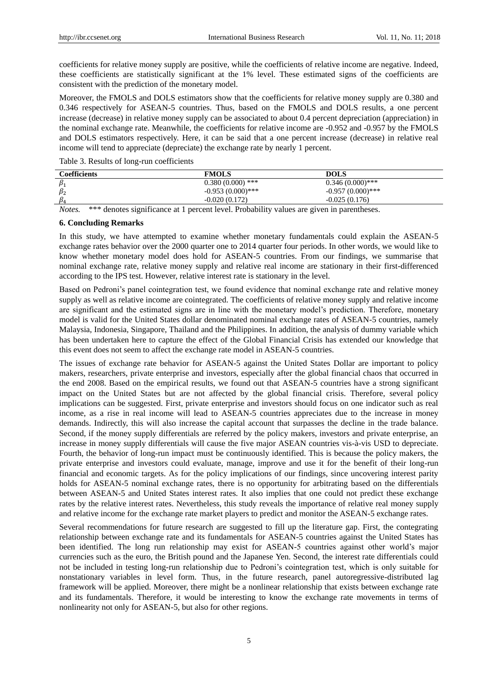coefficients for relative money supply are positive, while the coefficients of relative income are negative. Indeed, these coefficients are statistically significant at the 1% level. These estimated signs of the coefficients are consistent with the prediction of the monetary model.

Moreover, the FMOLS and DOLS estimators show that the coefficients for relative money supply are 0.380 and 0.346 respectively for ASEAN-5 countries. Thus, based on the FMOLS and DOLS results, a one percent increase (decrease) in relative money supply can be associated to about 0.4 percent depreciation (appreciation) in the nominal exchange rate. Meanwhile, the coefficients for relative income are -0.952 and -0.957 by the FMOLS and DOLS estimators respectively. Here, it can be said that a one percent increase (decrease) in relative real income will tend to appreciate (depreciate) the exchange rate by nearly 1 percent.

Table 3. Results of long-run coefficients

| <b>Coefficients</b>                                                             | <b>FMOLS</b>        | <b>DOLS</b>         |  |
|---------------------------------------------------------------------------------|---------------------|---------------------|--|
| $\beta_1$                                                                       | $0.380(0.000)$ ***  | $0.346(0.000)***$   |  |
| $\beta_2$                                                                       | $-0.953(0.000)$ *** | $-0.957(0.000)$ *** |  |
|                                                                                 | $-0.020(0.172)$     | $-0.025(0.176)$     |  |
| the contract of the contract of the contract of the contract of the contract of |                     |                     |  |

*Notes.* \*\*\* denotes significance at 1 percent level. Probability values are given in parentheses.

## **6. Concluding Remarks**

In this study, we have attempted to examine whether monetary fundamentals could explain the ASEAN-5 exchange rates behavior over the 2000 quarter one to 2014 quarter four periods. In other words, we would like to know whether monetary model does hold for ASEAN-5 countries. From our findings, we summarise that nominal exchange rate, relative money supply and relative real income are stationary in their first-differenced according to the IPS test. However, relative interest rate is stationary in the level.

Based on Pedroni's panel cointegration test, we found evidence that nominal exchange rate and relative money supply as well as relative income are cointegrated. The coefficients of relative money supply and relative income are significant and the estimated signs are in line with the monetary model's prediction. Therefore, monetary model is valid for the United States dollar denominated nominal exchange rates of ASEAN-5 countries, namely Malaysia, Indonesia, Singapore, Thailand and the Philippines. In addition, the analysis of dummy variable which has been undertaken here to capture the effect of the Global Financial Crisis has extended our knowledge that this event does not seem to affect the exchange rate model in ASEAN-5 countries.

The issues of exchange rate behavior for ASEAN-5 against the United States Dollar are important to policy makers, researchers, private enterprise and investors, especially after the global financial chaos that occurred in the end 2008. Based on the empirical results, we found out that ASEAN-5 countries have a strong significant impact on the United States but are not affected by the global financial crisis. Therefore, several policy implications can be suggested. First, private enterprise and investors should focus on one indicator such as real income, as a rise in real income will lead to ASEAN-5 countries appreciates due to the increase in money demands. Indirectly, this will also increase the capital account that surpasses the decline in the trade balance. Second, if the money supply differentials are referred by the policy makers, investors and private enterprise, an increase in money supply differentials will cause the five major ASEAN countries vis-à-vis USD to depreciate. Fourth, the behavior of long-run impact must be continuously identified. This is because the policy makers, the private enterprise and investors could evaluate, manage, improve and use it for the benefit of their long-run financial and economic targets. As for the policy implications of our findings, since uncovering interest parity holds for ASEAN-5 nominal exchange rates, there is no opportunity for arbitrating based on the differentials between ASEAN-5 and United States interest rates. It also implies that one could not predict these exchange rates by the relative interest rates. Nevertheless, this study reveals the importance of relative real money supply and relative income for the exchange rate market players to predict and monitor the ASEAN-5 exchange rates.

Several recommendations for future research are suggested to fill up the literature gap. First, the contegrating relationship between exchange rate and its fundamentals for ASEAN-5 countries against the United States has been identified. The long run relationship may exist for ASEAN-5 countries against other world's major currencies such as the euro, the British pound and the Japanese Yen. Second, the interest rate differentials could not be included in testing long-run relationship due to Pedroni's cointegration test, which is only suitable for nonstationary variables in level form. Thus, in the future research, panel autoregressive-distributed lag framework will be applied. Moreover, there might be a nonlinear relationship that exists between exchange rate and its fundamentals. Therefore, it would be interesting to know the exchange rate movements in terms of nonlinearity not only for ASEAN-5, but also for other regions.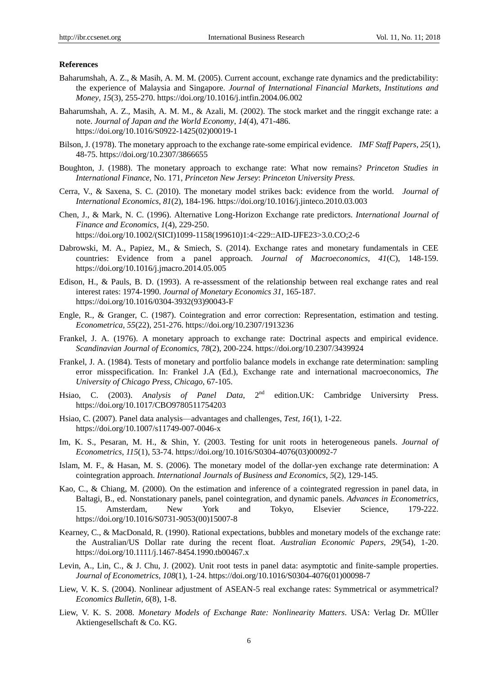## **References**

- Baharumshah, A. Z., & Masih, A. M. M. (2005). Current account, exchange rate dynamics and the predictability: the experience of Malaysia and Singapore. *Journal of International Financial Markets, Institutions and Money*, *15*(3), 255-270. https://doi.org/10.1016/j.intfin.2004.06.002
- Baharumshah, A. Z., Masih, A. M. M., & Azali, M. (2002). The stock market and the ringgit exchange rate: a note. *Journal of Japan and the World Economy*, *14*(4), 471-486. https://doi.org/10.1016/S0922-1425(02)00019-1
- Bilson, J. (1978). The monetary approach to the exchange rate-some empirical evidence. *IMF Staff Papers*, *25*(1), 48-75. https://doi.org/10.2307/3866655
- Boughton, J. (1988). The monetary approach to exchange rate: What now remains? *Princeton Studies in International Finance,* No. 171, *Princeton New Jersey*: *Princeton University Press.*
- Cerra, V., & Saxena, S. C. (2010). The monetary model strikes back: evidence from the world. *Journal of International Economics*, *81*(2), 184-196. https://doi.org/10.1016/j.jinteco.2010.03.003
- Chen, J., & Mark, N. C. (1996). Alternative Long-Horizon Exchange rate predictors. *International Journal of Finance and Economics*, *1*(4), 229-250. https://doi.org/10.1002/(SICI)1099-1158(199610)1:4<229::AID-IJFE23>3.0.CO;2-6
- Dabrowski, M. A., Papiez, M., & Smiech, S. (2014). Exchange rates and monetary fundamentals in CEE countries: Evidence from a panel approach. *Journal of Macroeconomics, 41*(C), 148-159. https://doi.org/10.1016/j.jmacro.2014.05.005
- Edison, H., & Pauls, B. D. (1993). A re-assessment of the relationship between real exchange rates and real interest rates: 1974-1990. *Journal of Monetary Economics 31,* 165-187. https://doi.org/10.1016/0304-3932(93)90043-F
- Engle, R., & Granger, C. (1987). Cointegration and error correction: Representation, estimation and testing. *Econometrica, 55*(22), 251-276. https://doi.org/10.2307/1913236
- Frankel, J. A. (1976). A monetary approach to exchange rate: Doctrinal aspects and empirical evidence. *Scandinavian Journal of Economics*, *78*(2), 200-224. https://doi.org/10.2307/3439924
- Frankel, J. A. (1984). Tests of monetary and portfolio balance models in exchange rate determination: sampling error misspecification. In: Frankel J.A (Ed.), Exchange rate and international macroeconomics, *The University of Chicago Press, Chicago*, 67-105.
- Hsiao, C. (2003). *Analysis of Panel Data*, 2<sup>nd</sup> edition.UK: Cambridge Universirty Press. https://doi.org/10.1017/CBO9780511754203
- Hsiao, C. (2007). Panel data analysis—advantages and challenges, *Test, 16*(1), 1-22. https://doi.org/10.1007/s11749-007-0046-x
- Im, K. S., Pesaran, M. H., & Shin, Y. (2003. Testing for unit roots in heterogeneous panels. *Journal of Econometrics*, *115*(1), 53-74. https://doi.org/10.1016/S0304-4076(03)00092-7
- Islam, M. F., & Hasan, M. S. (2006). The monetary model of the dollar-yen exchange rate determination: A cointegration approach. *International Journals of Business and Economics*, *5*(2), 129-145.
- Kao, C., & Chiang, M. (2000). On the estimation and inference of a cointegrated regression in panel data, in Baltagi, B., ed. Nonstationary panels, panel cointegration, and dynamic panels. *Advances in Econometrics*, 15. Amsterdam, New York and Tokyo, Elsevier Science, 179-222. https://doi.org/10.1016/S0731-9053(00)15007-8
- Kearney, C., & MacDonald, R. (1990). Rational expectations, bubbles and monetary models of the exchange rate: the Australian/US Dollar rate during the recent float. *Australian Economic Papers*, *29*(54), 1-20. https://doi.org/10.1111/j.1467-8454.1990.tb00467.x
- Levin, A., Lin, C., & J. Chu, J. (2002). Unit root tests in panel data: asymptotic and finite-sample properties. *Journal of Econometrics*, *108*(1), 1-24. https://doi.org/10.1016/S0304-4076(01)00098-7
- Liew, V. K. S. (2004). Nonlinear adjustment of ASEAN-5 real exchange rates: Symmetrical or asymmetrical? *Economics Bulletin, 6*(8), 1-8.
- Liew, V. K. S. 2008. *Monetary Models of Exchange Rate: Nonlinearity Matters*. USA: Verlag Dr. MÜller Aktiengesellschaft & Co. KG.